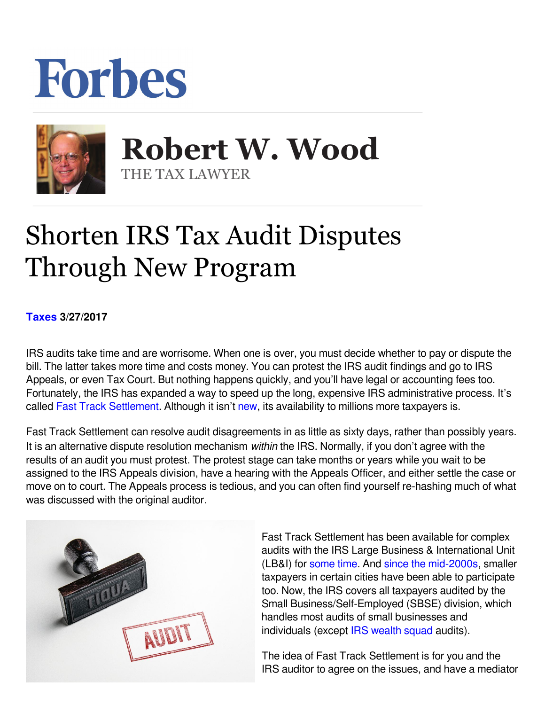## Forbes



**Robert W. Wood Robert W. Wood** THE TAX LAWYER THE TAX LAWYER

## Shorten IRS Tax Audit Disputes Through New Program

**[Taxes](https://www.forbes.com/taxes) 3/27/2017** 

IRS audits take time and are worrisome. When one is over, you must decide whether to pay or dispute the bill. The latter takes more time and costs money. You can protest the IRS audit findings and go to IRS Appeals, or even Tax Court. But nothing happens quickly, and you'll have legal or accounting fees too. Fortunately, the IRS has expanded a way to speed up the long, expensive IRS administrative process. It's called [Fast Track Settlement](https://www.irs.gov/pub/irs-drop/rp-17-25.pdf). Although it isn't new, its availability to millions more taxpayers is.

Fast Track Settlement can resolve audit disagreements in as little as sixty days, rather than possibly years. It is an alternative dispute resolution mechanism within the IRS. Normally, if you don't agree with the results of an audit you must protest. The protest stage can take months or years while you wait to be assigned to the IRS Appeals division, have a hearing with the Appeals Officer, and either settle the case or move on to court. The Appeals process is tedious, and you can often find yourself re-hashing much of what was discussed with the original auditor.



Fast Track Settlement has been available for complex audits with the IRS Large Business & International Unit (LB&I) for some time[.](https://www.irs.gov/businesses/fast-track-settlement) And [since the mid-2000s](https://www.irs.gov/irb/2006-36_IRB/ar18.html), smaller taxpayers in certain cities have been able to participate too. Now, the IRS covers all taxpayers audited by the Small Business/Self-Employed (SBSE) division, which handles most audits of small businesses and individuals (except [IRS wealth squad](https://www.forbes.com/sites/robertwood/2016/10/04/do-wealthy-people-like-trump-have-easier-irs-audits/#afe3ca51826d) audits).

The idea of Fast Track Settlement is for you and the IRS auditor to agree on the issues, and have a mediator